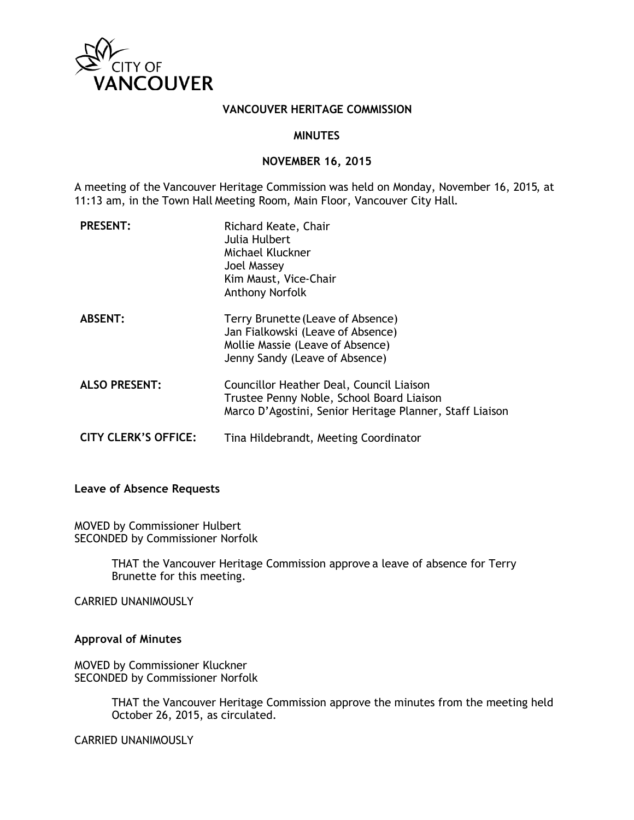

## **VANCOUVER HERITAGE COMMISSION**

### **MINUTES**

#### **NOVEMBER 16, 2015**

A meeting of the Vancouver Heritage Commission was held on Monday, November 16, 2015, at 11:13 am, in the Town Hall Meeting Room, Main Floor, Vancouver City Hall.

| <b>PRESENT:</b>             | Richard Keate, Chair<br>Julia Hulbert<br>Michael Kluckner<br>Joel Massey<br>Kim Maust, Vice-Chair<br><b>Anthony Norfolk</b>                       |
|-----------------------------|---------------------------------------------------------------------------------------------------------------------------------------------------|
| <b>ABSENT:</b>              | Terry Brunette (Leave of Absence)<br>Jan Fialkowski (Leave of Absence)<br>Mollie Massie (Leave of Absence)<br>Jenny Sandy (Leave of Absence)      |
| <b>ALSO PRESENT:</b>        | Councillor Heather Deal, Council Liaison<br>Trustee Penny Noble, School Board Liaison<br>Marco D'Agostini, Senior Heritage Planner, Staff Liaison |
| <b>CITY CLERK'S OFFICE:</b> | Tina Hildebrandt, Meeting Coordinator                                                                                                             |

### **Leave of Absence Requests**

MOVED by Commissioner Hulbert SECONDED by Commissioner Norfolk

> THAT the Vancouver Heritage Commission approve a leave of absence for Terry Brunette for this meeting.

CARRIED UNANIMOUSLY

### **Approval of Minutes**

MOVED by Commissioner Kluckner SECONDED by Commissioner Norfolk

> THAT the Vancouver Heritage Commission approve the minutes from the meeting held October 26, 2015, as circulated.

CARRIED UNANIMOUSLY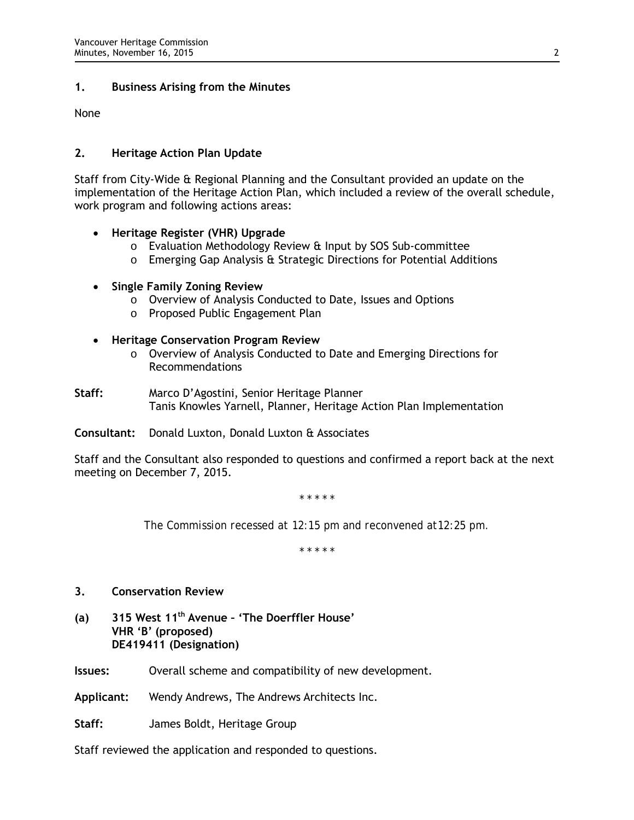## **1. Business Arising from the Minutes**

None

### **2. Heritage Action Plan Update**

Staff from City-Wide & Regional Planning and the Consultant provided an update on the implementation of the Heritage Action Plan, which included a review of the overall schedule, work program and following actions areas:

## • **Heritage Register (VHR) Upgrade**

- o Evaluation Methodology Review & Input by SOS Sub-committee
- o Emerging Gap Analysis & Strategic Directions for Potential Additions

### • **Single Family Zoning Review**

- o Overview of Analysis Conducted to Date, Issues and Options
- o Proposed Public Engagement Plan
- **Heritage Conservation Program Review**
	- o Overview of Analysis Conducted to Date and Emerging Directions for Recommendations
- **Staff:** Marco D'Agostini, Senior Heritage Planner Tanis Knowles Yarnell, Planner, Heritage Action Plan Implementation

**Consultant:** Donald Luxton, Donald Luxton & Associates

Staff and the Consultant also responded to questions and confirmed a report back at the next meeting on December 7, 2015.

*\* \* \* \* \**

*The Commission recessed at 12:15 pm and reconvened at12:25 pm.* 

*\* \* \* \* \**

## **3. Conservation Review**

**(a) 315 West 11th Avenue – 'The Doerffler House' VHR 'B' (proposed) DE419411 (Designation)**

**Issues:** Overall scheme and compatibility of new development.

**Applicant:** Wendy Andrews, The Andrews Architects Inc.

**Staff:** James Boldt, Heritage Group

Staff reviewed the application and responded to questions.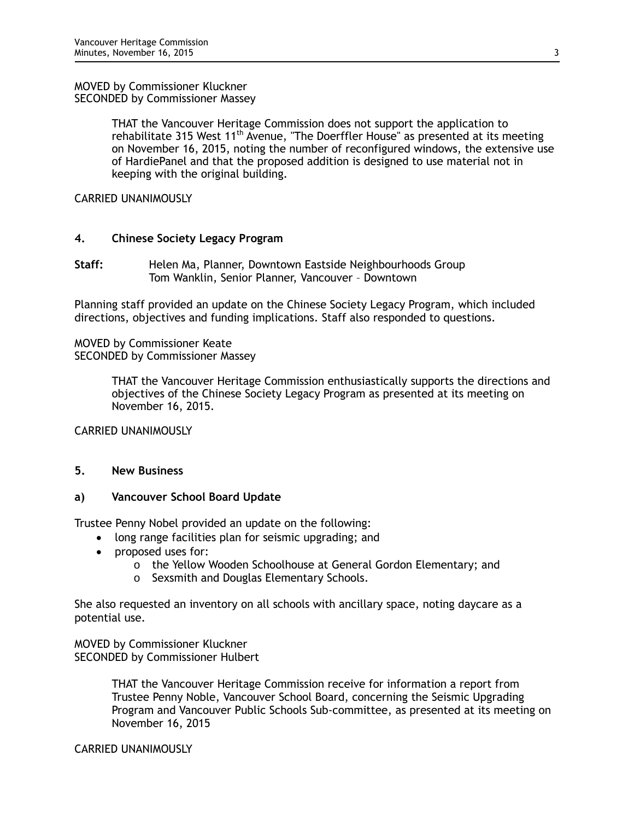MOVED by Commissioner Kluckner SECONDED by Commissioner Massey

> THAT the Vancouver Heritage Commission does not support the application to rehabilitate 315 West 11<sup>th</sup> Avenue, "The Doerffler House" as presented at its meeting on November 16, 2015, noting the number of reconfigured windows, the extensive use of HardiePanel and that the proposed addition is designed to use material not in keeping with the original building.

CARRIED UNANIMOUSLY

### **4. Chinese Society Legacy Program**

**Staff:** Helen Ma, Planner, Downtown Eastside Neighbourhoods Group Tom Wanklin, Senior Planner, Vancouver – Downtown

Planning staff provided an update on the Chinese Society Legacy Program, which included directions, objectives and funding implications. Staff also responded to questions.

MOVED by Commissioner Keate SECONDED by Commissioner Massey

> THAT the Vancouver Heritage Commission enthusiastically supports the directions and objectives of the Chinese Society Legacy Program as presented at its meeting on November 16, 2015.

CARRIED UNANIMOUSLY

### **5. New Business**

### **a) Vancouver School Board Update**

Trustee Penny Nobel provided an update on the following:

- long range facilities plan for seismic upgrading; and
- proposed uses for:
	- o the Yellow Wooden Schoolhouse at General Gordon Elementary; and
	- o Sexsmith and Douglas Elementary Schools.

She also requested an inventory on all schools with ancillary space, noting daycare as a potential use.

MOVED by Commissioner Kluckner SECONDED by Commissioner Hulbert

> THAT the Vancouver Heritage Commission receive for information a report from Trustee Penny Noble, Vancouver School Board, concerning the Seismic Upgrading Program and Vancouver Public Schools Sub-committee, as presented at its meeting on November 16, 2015

CARRIED UNANIMOUSLY